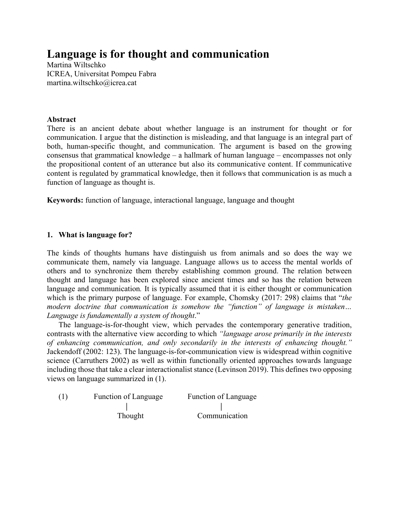# **Language is for thought and communication**

Martina Wiltschko ICREA, Universitat Pompeu Fabra martina.wiltschko@icrea.cat

# **Abstract**

There is an ancient debate about whether language is an instrument for thought or for communication. I argue that the distinction is misleading, and that language is an integral part of both, human-specific thought, and communication. The argument is based on the growing consensus that grammatical knowledge – a hallmark of human language – encompasses not only the propositional content of an utterance but also its communicative content. If communicative content is regulated by grammatical knowledge, then it follows that communication is as much a function of language as thought is.

**Keywords:** function of language, interactional language, language and thought

# **1. What is language for?**

The kinds of thoughts humans have distinguish us from animals and so does the way we communicate them, namely via language. Language allows us to access the mental worlds of others and to synchronize them thereby establishing common ground. The relation between thought and language has been explored since ancient times and so has the relation between language and communication. It is typically assumed that it is either thought or communication which is the primary purpose of language. For example, Chomsky (2017: 298) claims that "*the modern doctrine that communication is somehow the "function" of language is mistaken… Language is fundamentally a system of thought*."

The language-is-for-thought view, which pervades the contemporary generative tradition, contrasts with the alternative view according to which *"language arose primarily in the interests of enhancing communication, and only secondarily in the interests of enhancing thought."*  Jackendoff (2002: 123). The language-is-for-communication view is widespread within cognitive science (Carruthers 2002) as well as within functionally oriented approaches towards language including those that take a clear interactionalist stance (Levinson 2019). This defines two opposing views on language summarized in (1).

| (1) | Function of Language | Function of Language |  |
|-----|----------------------|----------------------|--|
|     |                      |                      |  |
|     | Thought              | Communication        |  |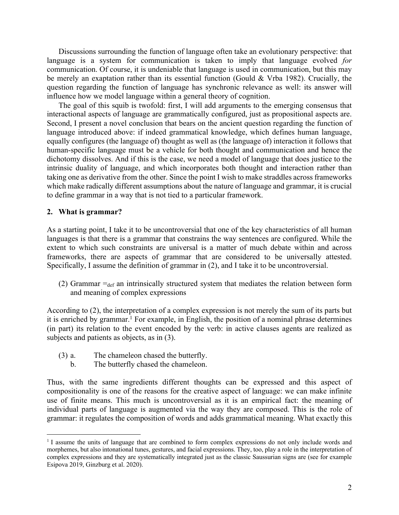Discussions surrounding the function of language often take an evolutionary perspective: that language is a system for communication is taken to imply that language evolved *for*  communication. Of course, it is undeniable that language is used in communication, but this may be merely an exaptation rather than its essential function (Gould & Vrba 1982). Crucially, the question regarding the function of language has synchronic relevance as well: its answer will influence how we model language within a general theory of cognition.

The goal of this squib is twofold: first, I will add arguments to the emerging consensus that interactional aspects of language are grammatically configured, just as propositional aspects are. Second, I present a novel conclusion that bears on the ancient question regarding the function of language introduced above: if indeed grammatical knowledge, which defines human language, equally configures (the language of) thought as well as (the language of) interaction it follows that human-specific language must be a vehicle for both thought and communication and hence the dichotomy dissolves. And if this is the case, we need a model of language that does justice to the intrinsic duality of language, and which incorporates both thought and interaction rather than taking one as derivative from the other. Since the point I wish to make straddles across frameworks which make radically different assumptions about the nature of language and grammar, it is crucial to define grammar in a way that is not tied to a particular framework.

#### **2. What is grammar?**

As a starting point, I take it to be uncontroversial that one of the key characteristics of all human languages is that there is a grammar that constrains the way sentences are configured. While the extent to which such constraints are universal is a matter of much debate within and across frameworks, there are aspects of grammar that are considered to be universally attested. Specifically, I assume the definition of grammar in (2), and I take it to be uncontroversial.

(2) Grammar  $=_{def}$  an intrinsically structured system that mediates the relation between form and meaning of complex expressions

According to (2), the interpretation of a complex expression is not merely the sum of its parts but it is enriched by grammar. <sup>1</sup> For example, in English, the position of a nominal phrase determines (in part) its relation to the event encoded by the verb: in active clauses agents are realized as subjects and patients as objects, as in (3).

- (3) a. The chameleon chased the butterfly.
	- b. The butterfly chased the chameleon.

Thus, with the same ingredients different thoughts can be expressed and this aspect of compositionality is one of the reasons for the creative aspect of language: we can make infinite use of finite means. This much is uncontroversial as it is an empirical fact: the meaning of individual parts of language is augmented via the way they are composed. This is the role of grammar: it regulates the composition of words and adds grammatical meaning. What exactly this

<sup>&</sup>lt;sup>1</sup> I assume the units of language that are combined to form complex expressions do not only include words and morphemes, but also intonational tunes, gestures, and facial expressions. They, too, play a role in the interpretation of complex expressions and they are systematically integrated just as the classic Saussurian signs are (see for example Esipova 2019, Ginzburg et al. 2020).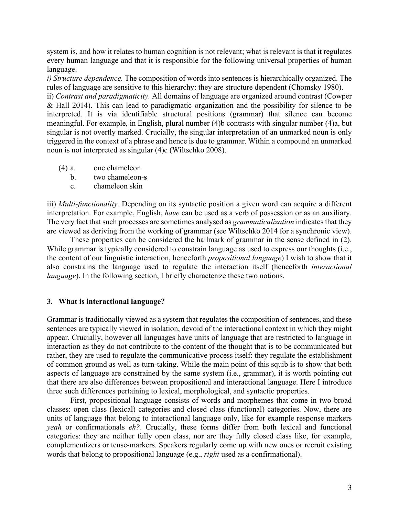system is, and how it relates to human cognition is not relevant; what is relevant is that it regulates every human language and that it is responsible for the following universal properties of human language.

*i) Structure dependence.* The composition of words into sentences is hierarchically organized. The rules of language are sensitive to this hierarchy: they are structure dependent (Chomsky 1980).

ii) *Contrast and paradigmaticity.* All domains of language are organized around contrast (Cowper & Hall 2014). This can lead to paradigmatic organization and the possibility for silence to be interpreted. It is via identifiable structural positions (grammar) that silence can become meaningful. For example, in English, plural number (4)b contrasts with singular number (4)a, but singular is not overtly marked. Crucially, the singular interpretation of an unmarked noun is only triggered in the context of a phrase and hence is due to grammar. Within a compound an unmarked noun is not interpreted as singular (4)c (Wiltschko 2008).

- (4) a. one chameleon
	- b. two chameleon-**s**
	- c. chameleon skin

iii) *Multi-functionality.* Depending on its syntactic position a given word can acquire a different interpretation. For example, English, *have* can be used as a verb of possession or as an auxiliary. The very fact that such processes are sometimes analysed as *grammaticalization* indicates that they are viewed as deriving from the working of grammar (see Wiltschko 2014 for a synchronic view).

These properties can be considered the hallmark of grammar in the sense defined in (2). While grammar is typically considered to constrain language as used to express our thoughts (i.e., the content of our linguistic interaction, henceforth *propositional language*) I wish to show that it also constrains the language used to regulate the interaction itself (henceforth *interactional language*). In the following section, I briefly characterize these two notions.

## **3. What is interactional language?**

Grammar is traditionally viewed as a system that regulates the composition of sentences, and these sentences are typically viewed in isolation, devoid of the interactional context in which they might appear. Crucially, however all languages have units of language that are restricted to language in interaction as they do not contribute to the content of the thought that is to be communicated but rather, they are used to regulate the communicative process itself: they regulate the establishment of common ground as well as turn-taking. While the main point of this squib is to show that both aspects of language are constrained by the same system (i.e., grammar), it is worth pointing out that there are also differences between propositional and interactional language. Here I introduce three such differences pertaining to lexical, morphological, and syntactic properties.

First, propositional language consists of words and morphemes that come in two broad classes: open class (lexical) categories and closed class (functional) categories. Now, there are units of language that belong to interactional language only, like for example response markers *yeah* or confirmationals *eh?*. Crucially, these forms differ from both lexical and functional categories: they are neither fully open class, nor are they fully closed class like, for example, complementizers or tense-markers. Speakers regularly come up with new ones or recruit existing words that belong to propositional language (e.g., *right* used as a confirmational).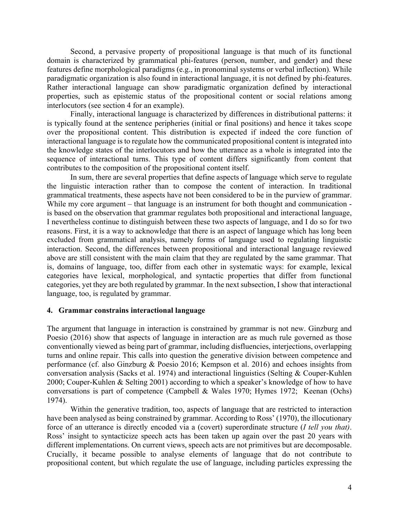Second, a pervasive property of propositional language is that much of its functional domain is characterized by grammatical phi-features (person, number, and gender) and these features define morphological paradigms (e.g., in pronominal systems or verbal inflection). While paradigmatic organization is also found in interactional language, it is not defined by phi-features. Rather interactional language can show paradigmatic organization defined by interactional properties, such as epistemic status of the propositional content or social relations among interlocutors (see section 4 for an example).

Finally, interactional language is characterized by differences in distributional patterns: it is typically found at the sentence peripheries (initial or final positions) and hence it takes scope over the propositional content. This distribution is expected if indeed the core function of interactional language is to regulate how the communicated propositional content is integrated into the knowledge states of the interlocutors and how the utterance as a whole is integrated into the sequence of interactional turns. This type of content differs significantly from content that contributes to the composition of the propositional content itself.

In sum, there are several properties that define aspects of language which serve to regulate the linguistic interaction rather than to compose the content of interaction. In traditional grammatical treatments, these aspects have not been considered to be in the purview of grammar. While my core argument – that language is an instrument for both thought and communication is based on the observation that grammar regulates both propositional and interactional language, I nevertheless continue to distinguish between these two aspects of language, and I do so for two reasons. First, it is a way to acknowledge that there is an aspect of language which has long been excluded from grammatical analysis, namely forms of language used to regulating linguistic interaction. Second, the differences between propositional and interactional language reviewed above are still consistent with the main claim that they are regulated by the same grammar. That is, domains of language, too, differ from each other in systematic ways: for example, lexical categories have lexical, morphological, and syntactic properties that differ from functional categories, yet they are both regulated by grammar. In the next subsection, I show that interactional language, too, is regulated by grammar.

## **4. Grammar constrains interactional language**

The argument that language in interaction is constrained by grammar is not new. Ginzburg and Poesio (2016) show that aspects of language in interaction are as much rule governed as those conventionally viewed as being part of grammar, including disfluencies, interjections, overlapping turns and online repair. This calls into question the generative division between competence and performance (cf. also Ginzburg & Poesio 2016; Kempson et al. 2016) and echoes insights from conversation analysis (Sacks et al. 1974) and interactional linguistics (Selting & Couper-Kuhlen 2000; Couper-Kuhlen & Selting 2001) according to which a speaker's knowledge of how to have conversations is part of competence (Campbell & Wales 1970; Hymes 1972; Keenan (Ochs) 1974).

Within the generative tradition, too, aspects of language that are restricted to interaction have been analysed as being constrained by grammar. According to Ross' (1970), the illocutionary force of an utterance is directly encoded via a (covert) superordinate structure (*I tell you that)*. Ross' insight to syntacticize speech acts has been taken up again over the past 20 years with different implementations. On current views, speech acts are not primitives but are decomposable. Crucially, it became possible to analyse elements of language that do not contribute to propositional content, but which regulate the use of language, including particles expressing the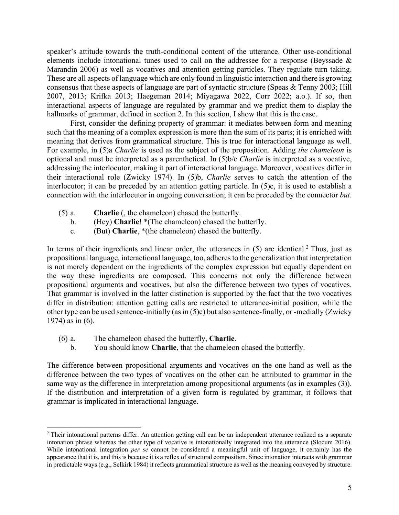speaker's attitude towards the truth-conditional content of the utterance. Other use-conditional elements include intonational tunes used to call on the addressee for a response (Beyssade & Marandin 2006) as well as vocatives and attention getting particles. They regulate turn taking. These are all aspects of language which are only found in linguistic interaction and there is growing consensus that these aspects of language are part of syntactic structure (Speas & Tenny 2003; Hill 2007, 2013; Krifka 2013; Haegeman 2014; Miyagawa 2022, Corr 2022; a.o.). If so, then interactional aspects of language are regulated by grammar and we predict them to display the hallmarks of grammar, defined in section 2. In this section, I show that this is the case.

First, consider the defining property of grammar: it mediates between form and meaning such that the meaning of a complex expression is more than the sum of its parts; it is enriched with meaning that derives from grammatical structure. This is true for interactional language as well. For example, in (5)a *Charlie* is used as the subject of the proposition. Adding *the chameleon* is optional and must be interpreted as a parenthetical. In (5)b/c *Charlie* is interpreted as a vocative, addressing the interlocutor, making it part of interactional language. Moreover, vocatives differ in their interactional role (Zwicky 1974). In (5)b, *Charlie* serves to catch the attention of the interlocutor; it can be preceded by an attention getting particle. In (5)c, it is used to establish a connection with the interlocutor in ongoing conversation; it can be preceded by the connector *but*.

- (5) a. **Charlie** (, the chameleon) chased the butterfly.
	- b. (Hey) **Charlie**! \*(The chameleon) chased the butterfly.
	- c. (But) **Charlie**, \*(the chameleon) chased the butterfly.

In terms of their ingredients and linear order, the utterances in (5) are identical.<sup>2</sup> Thus, just as propositional language, interactional language, too, adheres to the generalization that interpretation is not merely dependent on the ingredients of the complex expression but equally dependent on the way these ingredients are composed. This concerns not only the difference between propositional arguments and vocatives, but also the difference between two types of vocatives. That grammar is involved in the latter distinction is supported by the fact that the two vocatives differ in distribution: attention getting calls are restricted to utterance-initial position, while the other type can be used sentence-initially (as in (5)c) but also sentence-finally, or -medially (Zwicky 1974) as in (6).

- (6) a. The chameleon chased the butterfly, **Charlie**.
	- b. You should know **Charlie**, that the chameleon chased the butterfly.

The difference between propositional arguments and vocatives on the one hand as well as the difference between the two types of vocatives on the other can be attributed to grammar in the same way as the difference in interpretation among propositional arguments (as in examples (3)). If the distribution and interpretation of a given form is regulated by grammar, it follows that grammar is implicated in interactional language.

<sup>&</sup>lt;sup>2</sup> Their intonational patterns differ. An attention getting call can be an independent utterance realized as a separate intonation phrase whereas the other type of vocative is intonationally integrated into the utterance (Slocum 2016). While intonational integration *per se* cannot be considered a meaningful unit of language, it certainly has the appearance that it is, and this is because it is a reflex of structural composition. Since intonation interacts with grammar in predictable ways (e.g., Selkirk 1984) it reflects grammatical structure as well as the meaning conveyed by structure.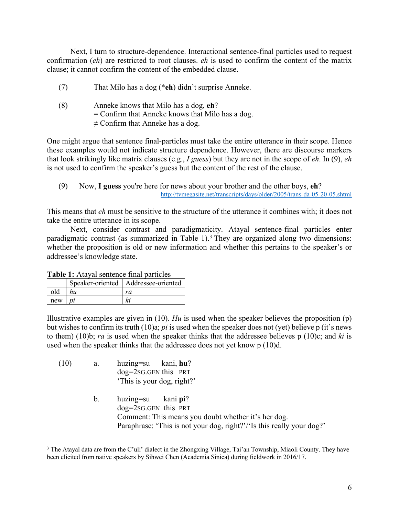Next, I turn to structure-dependence. Interactional sentence-final particles used to request confirmation (*eh*) are restricted to root clauses. *eh* is used to confirm the content of the matrix clause; it cannot confirm the content of the embedded clause.

- (7) That Milo has a dog (\***eh**) didn't surprise Anneke.
- (8) Anneke knows that Milo has a dog, **eh**? = Confirm that Anneke knows that Milo has a dog.  $\neq$  Confirm that Anneke has a dog.

One might argue that sentence final-particles must take the entire utterance in their scope. Hence these examples would not indicate structure dependence. However, there are discourse markers that look strikingly like matrix clauses (e.g., *I guess*) but they are not in the scope of *eh*. In (9), *eh*  is not used to confirm the speaker's guess but the content of the rest of the clause.

(9) Now, **I guess** you're here for news about your brother and the other boys, **eh**? http://tvmegasite.net/transcripts/days/older/2005/trans-da-05-20-05.shtml

This means that *eh* must be sensitive to the structure of the utterance it combines with; it does not take the entire utterance in its scope.

Next, consider contrast and paradigmaticity. Atayal sentence-final particles enter paradigmatic contrast (as summarized in Table 1).<sup>3</sup> They are organized along two dimensions: whether the proposition is old or new information and whether this pertains to the speaker's or addressee's knowledge state.

| Tunic III in which are in the particles |    |                                       |  |  |
|-----------------------------------------|----|---------------------------------------|--|--|
|                                         |    | Speaker-oriented   Addressee-oriented |  |  |
| old                                     | hи | ra                                    |  |  |
| new                                     |    |                                       |  |  |

**Table 1:** Atayal sentence final particles

Illustrative examples are given in (10). *Hu* is used when the speaker believes the proposition (p) but wishes to confirm its truth (10)a; *pi* is used when the speaker does not (yet) believe p (it's news to them) (10)b; *ra* is used when the speaker thinks that the addressee believes p (10)c; and *ki* is used when the speaker thinks that the addressee does not yet know p (10)d.

- (10) a. huzing=su kani, **hu**? dog=2SG.GEN this PRT 'This is your dog, right?'
	- b. huzing=su kani **pi**? dog=2SG.GEN this PRT Comment: This means you doubt whether it's her dog. Paraphrase: 'This is not your dog, right?'/'Is this really your dog?'

<sup>&</sup>lt;sup>3</sup> The Atayal data are from the C'uli' dialect in the Zhongxing Village, Tai'an Township, Miaoli County. They have been elicited from native speakers by Sihwei Chen (Academia Sinica) during fieldwork in 2016/17.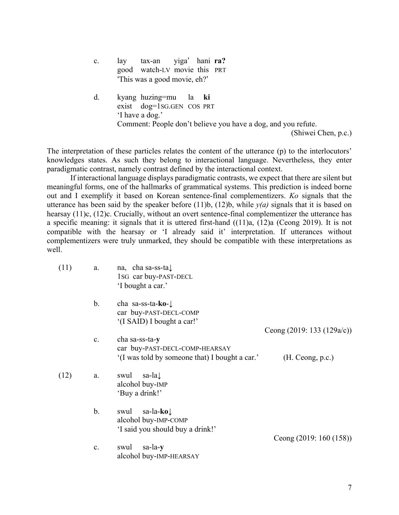| c. | tax-an yiga' hani ra?<br>lay                                          |
|----|-----------------------------------------------------------------------|
|    | good watch-LV movie this PRT                                          |
|    | 'This was a good movie, eh?'                                          |
| d. | kyang huzing=mu la ki<br>exist dog=1sG.GEN COS PRT<br>'I have a dog.' |
|    | Comment: People don't believe you have a dog, and you refute.         |
|    | (Shiwei Chen, p.c.)                                                   |

The interpretation of these particles relates the content of the utterance (p) to the interlocutors' knowledges states. As such they belong to interactional language. Nevertheless, they enter paradigmatic contrast, namely contrast defined by the interactional context.

If interactional language displays paradigmatic contrasts, we expect that there are silent but meaningful forms, one of the hallmarks of grammatical systems. This prediction is indeed borne out and I exemplify it based on Korean sentence-final complementizers. *Ko* signals that the utterance has been said by the speaker before  $(11)b$ ,  $(12)b$ , while  $y(a)$  signals that it is based on hearsay (11)c, (12)c. Crucially, without an overt sentence-final complementizer the utterance has a specific meaning: it signals that it is uttered first-hand ((11)a, (12)a (Ceong 2019). It is not compatible with the hearsay or 'I already said it' interpretation. If utterances without complementizers were truly unmarked, they should be compatible with these interpretations as well.

| (11) | a.            | na, cha sa-ss-ta $\downarrow$<br>1sG car buy-PAST-DECL<br>'I bought a car.'                       |                            |
|------|---------------|---------------------------------------------------------------------------------------------------|----------------------------|
|      | b.            | cha sa-ss-ta- $k0$ - $\downarrow$<br>car buy-PAST-DECL-COMP<br>'(I SAID) I bought a car!'         |                            |
|      |               |                                                                                                   | Ceong (2019: 133 (129a/c)) |
|      | c.            | cha sa-ss-ta-y<br>car buy-PAST-DECL-COMP-HEARSAY                                                  |                            |
|      |               | '(I was told by someone that) I bought a car.'                                                    | (H. Ceong, p.c.)           |
| (12) | a.            | sa-la $\downarrow$<br>swul<br>alcohol buy-IMP<br>'Buy a drink!'                                   |                            |
|      | $\mathbf b$ . | sa-la- <b>ko</b> $\downarrow$<br>swul<br>alcohol buy-IMP-COMP<br>'I said you should buy a drink!' |                            |
|      |               |                                                                                                   | Ceong $(2019: 160(158))$   |
|      | c.            | sa-la-y<br>swul                                                                                   |                            |
|      |               | alcohol buy-IMP-HEARSAY                                                                           |                            |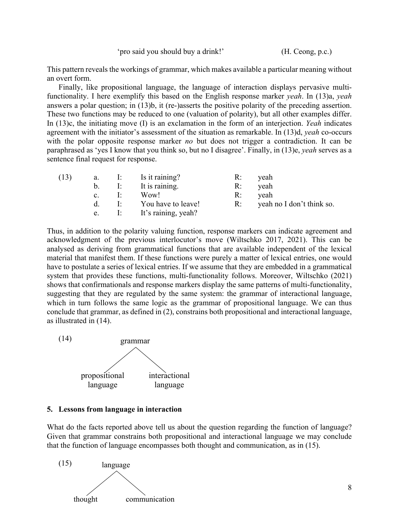This pattern reveals the workings of grammar, which makes available a particular meaning without an overt form.

Finally, like propositional language, the language of interaction displays pervasive multifunctionality. I here exemplify this based on the English response marker *yeah*. In (13)a, *yeah* answers a polar question; in (13)b, it (re-)asserts the positive polarity of the preceding assertion. These two functions may be reduced to one (valuation of polarity), but all other examples differ. In (13)c, the initiating move (I) is an exclamation in the form of an interjection. *Yeah* indicates agreement with the initiator's assessment of the situation as remarkable. In (13)d, *yeah* co-occurs with the polar opposite response marker *no* but does not trigger a contradiction. It can be paraphrased as 'yes I know that you think so, but no I disagree'. Finally, in (13)e, *yeah* serves as a sentence final request for response.

| (13) |                |              | a. I: Is it raining?   | $R$ : | yeah                            |
|------|----------------|--------------|------------------------|-------|---------------------------------|
|      | b.             |              | I: It is raining.      | R:    | yeah                            |
|      | $\mathbf{c}$ . | $\mathbf{E}$ | Wow!                   | $R$ : | yeah                            |
|      | d.             |              | I: You have to leave!  |       | $R$ : yeah no I don't think so. |
|      | e.             |              | I: It's raining, yeah? |       |                                 |

Thus, in addition to the polarity valuing function, response markers can indicate agreement and acknowledgment of the previous interlocutor's move (Wiltschko 2017, 2021). This can be analysed as deriving from grammatical functions that are available independent of the lexical material that manifest them. If these functions were purely a matter of lexical entries, one would have to postulate a series of lexical entries. If we assume that they are embedded in a grammatical system that provides these functions, multi-functionality follows. Moreover, Wiltschko (2021) shows that confirmationals and response markers display the same patterns of multi-functionality, suggesting that they are regulated by the same system: the grammar of interactional language, which in turn follows the same logic as the grammar of propositional language. We can thus conclude that grammar, as defined in (2), constrains both propositional and interactional language, as illustrated in (14).



#### **5. Lessons from language in interaction**

What do the facts reported above tell us about the question regarding the function of language? Given that grammar constrains both propositional and interactional language we may conclude that the function of language encompasses both thought and communication, as in (15).

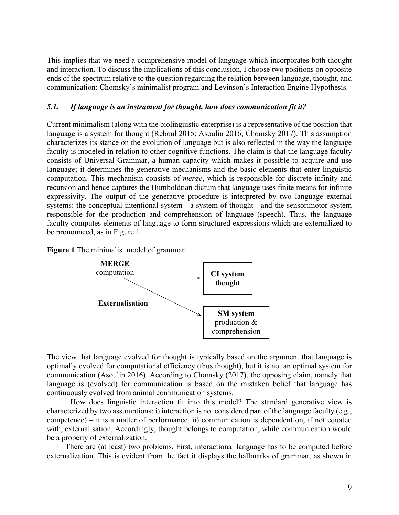This implies that we need a comprehensive model of language which incorporates both thought and interaction. To discuss the implications of this conclusion, I choose two positions on opposite ends of the spectrum relative to the question regarding the relation between language, thought, and communication: Chomsky's minimalist program and Levinson's Interaction Engine Hypothesis.

# *5.1. If language is an instrument for thought, how does communication fit it?*

Current minimalism (along with the biolinguistic enterprise) is a representative of the position that language is a system for thought (Reboul 2015; Asoulin 2016; Chomsky 2017). This assumption characterizes its stance on the evolution of language but is also reflected in the way the language faculty is modeled in relation to other cognitive functions. The claim is that the language faculty consists of Universal Grammar, a human capacity which makes it possible to acquire and use language; it determines the generative mechanisms and the basic elements that enter linguistic computation. This mechanism consists of *merge*, which is responsible for discrete infinity and recursion and hence captures the Humboldtian dictum that language uses finite means for infinite expressivity. The output of the generative procedure is interpreted by two language external systems: the conceptual-intentional system - a system of thought - and the sensorimotor system responsible for the production and comprehension of language (speech). Thus, the language faculty computes elements of language to form structured expressions which are externalized to be pronounced, as in Figure 1.





The view that language evolved for thought is typically based on the argument that language is optimally evolved for computational efficiency (thus thought), but it is not an optimal system for communication (Asoulin 2016). According to Chomsky (2017), the opposing claim, namely that language is (evolved) for communication is based on the mistaken belief that language has continuously evolved from animal communication systems.

How does linguistic interaction fit into this model? The standard generative view is characterized by two assumptions: i) interaction is not considered part of the language faculty (e.g., competence) – it is a matter of performance. ii) communication is dependent on, if not equated with, externalisation. Accordingly, thought belongs to computation, while communication would be a property of externalization.

There are (at least) two problems. First, interactional language has to be computed before externalization. This is evident from the fact it displays the hallmarks of grammar, as shown in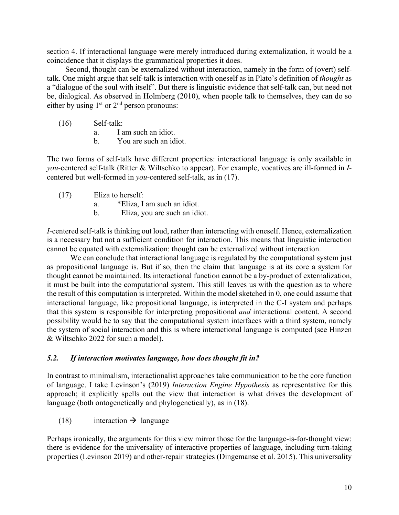section 4. If interactional language were merely introduced during externalization, it would be a coincidence that it displays the grammatical properties it does.

Second, thought can be externalized without interaction, namely in the form of (overt) selftalk. One might argue that self-talk is interaction with oneself as in Plato's definition of *thought* as a "dialogue of the soul with itself". But there is linguistic evidence that self-talk can, but need not be, dialogical. As observed in Holmberg (2010), when people talk to themselves, they can do so either by using  $1<sup>st</sup>$  or  $2<sup>nd</sup>$  person pronouns:

- (16) Self-talk:
	- a. I am such an idiot.
	- b. You are such an idiot.

The two forms of self-talk have different properties: interactional language is only available in *you-*centered self-talk (Ritter & Wiltschko to appear). For example, vocatives are ill-formed in *I*centered but well-formed in *you*-centered self-talk, as in (17).

- (17) Eliza to herself:
	- a. \*Eliza, I am such an idiot.
	- b. Eliza, you are such an idiot.

*I-*centered self-talk is thinking out loud, rather than interacting with oneself. Hence, externalization is a necessary but not a sufficient condition for interaction. This means that linguistic interaction cannot be equated with externalization: thought can be externalized without interaction.

We can conclude that interactional language is regulated by the computational system just as propositional language is. But if so, then the claim that language is at its core a system for thought cannot be maintained. Its interactional function cannot be a by-product of externalization, it must be built into the computational system. This still leaves us with the question as to where the result of this computation is interpreted. Within the model sketched in 0, one could assume that interactional language, like propositional language, is interpreted in the C-I system and perhaps that this system is responsible for interpreting propositional *and* interactional content. A second possibility would be to say that the computational system interfaces with a third system, namely the system of social interaction and this is where interactional language is computed (see Hinzen & Wiltschko 2022 for such a model).

# *5.2. If interaction motivates language, how does thought fit in?*

In contrast to minimalism, interactionalist approaches take communication to be the core function of language. I take Levinson's (2019) *Interaction Engine Hypothesis* as representative for this approach; it explicitly spells out the view that interaction is what drives the development of language (both ontogenetically and phylogenetically), as in (18).

(18) interaction  $\rightarrow$  language

Perhaps ironically, the arguments for this view mirror those for the language-is-for-thought view: there is evidence for the universality of interactive properties of language, including turn-taking properties (Levinson 2019) and other-repair strategies (Dingemanse et al. 2015). This universality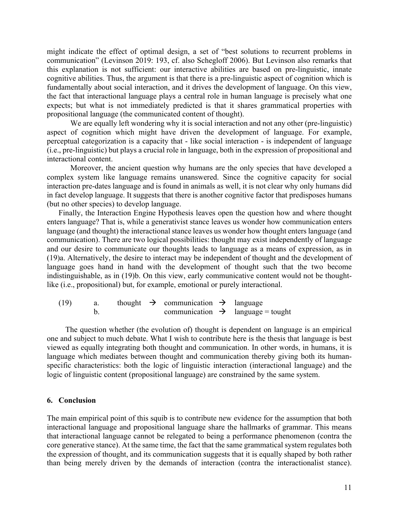might indicate the effect of optimal design, a set of "best solutions to recurrent problems in communication" (Levinson 2019: 193, cf. also Schegloff 2006). But Levinson also remarks that this explanation is not sufficient: our interactive abilities are based on pre-linguistic, innate cognitive abilities. Thus, the argument is that there is a pre-linguistic aspect of cognition which is fundamentally about social interaction, and it drives the development of language. On this view, the fact that interactional language plays a central role in human language is precisely what one expects; but what is not immediately predicted is that it shares grammatical properties with propositional language (the communicated content of thought).

We are equally left wondering why it is social interaction and not any other (pre-linguistic) aspect of cognition which might have driven the development of language. For example, perceptual categorization is a capacity that - like social interaction - is independent of language (i.e., pre-linguistic) but plays a crucial role in language, both in the expression of propositional and interactional content.

Moreover, the ancient question why humans are the only species that have developed a complex system like language remains unanswered. Since the cognitive capacity for social interaction pre-dates language and is found in animals as well, it is not clear why only humans did in fact develop language. It suggests that there is another cognitive factor that predisposes humans (but no other species) to develop language.

Finally, the Interaction Engine Hypothesis leaves open the question how and where thought enters language? That is, while a generativist stance leaves us wonder how communication enters language (and thought) the interactional stance leaves us wonder how thought enters language (and communication). There are two logical possibilities: thought may exist independently of language and our desire to communicate our thoughts leads to language as a means of expression, as in (19)a. Alternatively, the desire to interact may be independent of thought and the development of language goes hand in hand with the development of thought such that the two become indistinguishable, as in (19)b. On this view, early communicative content would not be thoughtlike (i.e., propositional) but, for example, emotional or purely interactional.

(19) a. thought  $\rightarrow$  communication  $\rightarrow$  language b. communication  $\rightarrow$  language = tought

The question whether (the evolution of) thought is dependent on language is an empirical one and subject to much debate. What I wish to contribute here is the thesis that language is best viewed as equally integrating both thought and communication. In other words, in humans, it is language which mediates between thought and communication thereby giving both its humanspecific characteristics: both the logic of linguistic interaction (interactional language) and the logic of linguistic content (propositional language) are constrained by the same system.

# **6. Conclusion**

The main empirical point of this squib is to contribute new evidence for the assumption that both interactional language and propositional language share the hallmarks of grammar. This means that interactional language cannot be relegated to being a performance phenomenon (contra the core generative stance). At the same time, the fact that the same grammatical system regulates both the expression of thought, and its communication suggests that it is equally shaped by both rather than being merely driven by the demands of interaction (contra the interactionalist stance).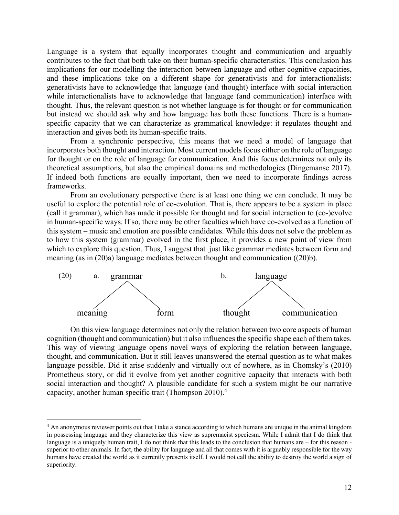Language is a system that equally incorporates thought and communication and arguably contributes to the fact that both take on their human-specific characteristics. This conclusion has implications for our modelling the interaction between language and other cognitive capacities, and these implications take on a different shape for generativists and for interactionalists: generativists have to acknowledge that language (and thought) interface with social interaction while interactionalists have to acknowledge that language (and communication) interface with thought. Thus, the relevant question is not whether language is for thought or for communication but instead we should ask why and how language has both these functions. There is a humanspecific capacity that we can characterize as grammatical knowledge: it regulates thought and interaction and gives both its human-specific traits.

From a synchronic perspective, this means that we need a model of language that incorporates both thought and interaction. Most current models focus either on the role of language for thought or on the role of language for communication. And this focus determines not only its theoretical assumptions, but also the empirical domains and methodologies (Dingemanse 2017). If indeed both functions are equally important, then we need to incorporate findings across frameworks.

From an evolutionary perspective there is at least one thing we can conclude. It may be useful to explore the potential role of co-evolution. That is, there appears to be a system in place (call it grammar), which has made it possible for thought and for social interaction to (co-)evolve in human-specific ways. If so, there may be other faculties which have co-evolved as a function of this system – music and emotion are possible candidates. While this does not solve the problem as to how this system (grammar) evolved in the first place, it provides a new point of view from which to explore this question. Thus, I suggest that just like grammar mediates between form and meaning (as in (20)a) language mediates between thought and communication ((20)b).



On this view language determines not only the relation between two core aspects of human cognition (thought and communication) but it also influences the specific shape each of them takes. This way of viewing language opens novel ways of exploring the relation between language, thought, and communication. But it still leaves unanswered the eternal question as to what makes language possible. Did it arise suddenly and virtually out of nowhere, as in Chomsky's (2010) Prometheus story, or did it evolve from yet another cognitive capacity that interacts with both social interaction and thought? A plausible candidate for such a system might be our narrative capacity, another human specific trait (Thompson 2010).4

<sup>&</sup>lt;sup>4</sup> An anonymous reviewer points out that I take a stance according to which humans are unique in the animal kingdom in possessing language and they characterize this view as supremacist speciesm. While I admit that I do think that language is a uniquely human trait, I do not think that this leads to the conclusion that humans are – for this reason superior to other animals. In fact, the ability for language and all that comes with it is arguably responsible for the way humans have created the world as it currently presents itself. I would not call the ability to destroy the world a sign of superiority.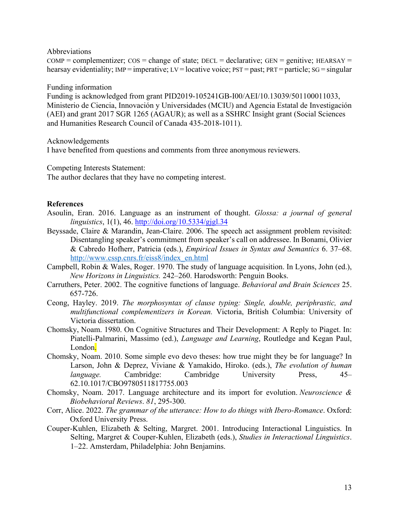Abbreviations

 $COMP = complementizer$ ;  $COS = change of state$ ;  $DECL = declarative$ ;  $GEN = genitive$ ;  $HERSAY =$ hearsay evidentiality; IMP = imperative; LV = locative voice;  $PST =$  past;  $PRT =$  particle;  $SG =$  singular

Funding information

Funding is acknowledged from grant PID2019-105241GB-I00/AEI/10.13039/501100011033, Ministerio de Ciencia, Innovación y Universidades (MCIU) and Agencia Estatal de Investigación (AEI) and grant 2017 SGR 1265 (AGAUR); as well as a SSHRC Insight grant (Social Sciences and Humanities Research Council of Canada 435-2018-1011).

Acknowledgements

I have benefited from questions and comments from three anonymous reviewers.

Competing Interests Statement:

The author declares that they have no competing interest.

# **References**

- Asoulin, Eran. 2016. Language as an instrument of thought. *Glossa: a journal of general linguistics*, 1(1), 46. http://doi.org/10.5334/gjgl.34
- Beyssade, Claire & Marandin, Jean-Claire. 2006. The speech act assignment problem revisited: Disentangling speaker's commitment from speaker's call on addressee. In Bonami, Olivier & Cabredo Hofherr, Patricia (eds.), *Empirical Issues in Syntax and Semantics* 6. 37–68. http://www.cssp.cnrs.fr/eiss8/index\_en.html
- Campbell, Robin & Wales, Roger. 1970. The study of language acquisition. In Lyons, John (ed.), *New Horizons in Linguistics.* 242–260. Harodsworth: Penguin Books.
- Carruthers, Peter. 2002. The cognitive functions of language. *Behavioral and Brain Sciences* 25. 657-726.
- Ceong, Hayley. 2019. *The morphosyntax of clause typing: Single, double, periphrastic, and multifunctional complementizers in Korean.* Victoria, British Columbia: University of Victoria dissertation.
- Chomsky, Noam. 1980. On Cognitive Structures and Their Development: A Reply to Piaget. In: Piatelli-Palmarini, Massimo (ed.), *Language and Learning*, Routledge and Kegan Paul, London.
- Chomsky, Noam. 2010. Some simple evo devo theses: how true might they be for language? In Larson, John & Deprez, Viviane & Yamakido, Hiroko. (eds.), *The evolution of human language.* Cambridge: Cambridge University Press, 45– 62.10.1017/CBO9780511817755.003
- Chomsky, Noam. 2017. Language architecture and its import for evolution. *Neuroscience & Biobehavioral Reviews*. *81*, 295-300.
- Corr, Alice. 2022. *The grammar of the utterance: How to do things with Ibero-Romance*. Oxford: Oxford University Press.
- Couper-Kuhlen, Elizabeth & Selting, Margret. 2001. Introducing Interactional Linguistics. In Selting, Margret & Couper-Kuhlen, Elizabeth (eds.), *Studies in Interactional Linguistics*. 1–22. Amsterdam, Philadelphia: John Benjamins.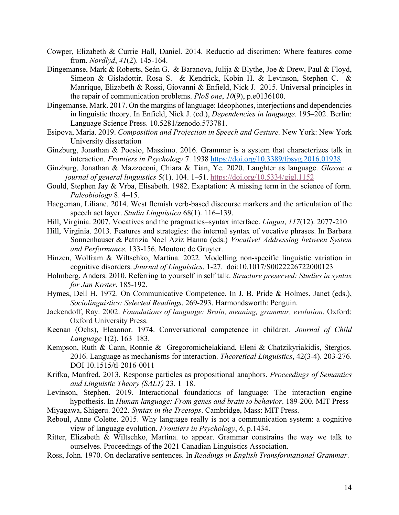- Cowper, Elizabeth & Currie Hall, Daniel. 2014. Reductio ad discrimen: Where features come from. *Nordlyd*, *41*(2). 145-164.
- Dingemanse, Mark & Roberts, Seán G. & Baranova, Julija & Blythe, Joe & Drew, Paul & Floyd, Simeon & Gisladottir, Rosa S. & Kendrick, Kobin H. & Levinson, Stephen C. & Manrique, Elizabeth & Rossi, Giovanni & Enfield, Nick J. 2015. Universal principles in the repair of communication problems. *PloS one*, *10*(9), p.e0136100.
- Dingemanse, Mark. 2017. On the margins of language: Ideophones, interjections and dependencies in linguistic theory. In Enfield, Nick J. (ed.), *Dependencies in language*. 195–202. Berlin: Language Science Press. 10.5281/zenodo.573781.
- Esipova, Maria. 2019. *Composition and Projection in Speech and Gesture.* New York: New York University dissertation
- Ginzburg, Jonathan & Poesio, Massimo. 2016. Grammar is a system that characterizes talk in interaction. *Frontiers in Psychology* 7. 1938 https://doi.org/10.3389/fpsyg.2016.01938
- Ginzburg, Jonathan & Mazzoconi, Chiara & Tian, Ye. 2020. Laughter as language. *Glossa*: *a journal of general linguistics* 5(1). 104. 1–51. https://doi.org/10.5334/gjgl.1152
- Gould, Stephen Jay & Vrba, Elisabeth. 1982. Exaptation: A missing term in the science of form. *Paleobiology* 8. 4–15.
- Haegeman, Liliane. 2014. West flemish verb-based discourse markers and the articulation of the speech act layer. *Studia Linguistica* 68(1). 116–139.
- Hill, Virginia. 2007. Vocatives and the pragmatics–syntax interface. *Lingua*, *117*(12). 2077-210
- Hill, Virginia. 2013. Features and strategies: the internal syntax of vocative phrases. In Barbara Sonnenhauser & Patrizia Noel Aziz Hanna (eds.) *Vocative! Addressing between System and Performance.* 133-156. Mouton: de Gruyter.
- Hinzen, Wolfram & Wiltschko, Martina. 2022. Modelling non-specific linguistic variation in cognitive disorders. *Journal of Linguistics*. 1-27. doi:10.1017/S0022226722000123
- Holmberg, Anders. 2010. Referring to yourself in self talk. *Structure preserved: Studies in syntax for Jan Koster*. 185-192.
- Hymes, Dell H. 1972. On Communicative Competence. In J. B. Pride & Holmes, Janet (eds.), *Sociolinguistics: Selected Readings*. 269-293. Harmondsworth: Penguin.
- Jackendoff, Ray. 2002. *Foundations of language: Brain, meaning, grammar, evolution*. Oxford: Oxford University Press.
- Keenan (Ochs), Eleaonor. 1974. Conversational competence in children. *Journal of Child Language* 1(2). 163–183.
- Kempson, Ruth & Cann, Ronnie & Gregoromichelakiand, Eleni & Chatzikyriakidis, Stergios. 2016. Language as mechanisms for interaction. *Theoretical Linguistics*, 42(3-4). 203-276. DOI 10.1515/tl-2016-0011
- Krifka, Manfred. 2013. Response particles as propositional anaphors. *Proceedings of Semantics and Linguistic Theory (SALT)* 23. 1–18.
- Levinson, Stephen. 2019. Interactional foundations of language: The interaction engine hypothesis. In *Human language: From genes and brain to behavior*. 189-200. MIT Press
- Miyagawa, Shigeru. 2022. *Syntax in the Treetops*. Cambridge, Mass: MIT Press.
- Reboul, Anne Colette. 2015. Why language really is not a communication system: a cognitive view of language evolution. *Frontiers in Psychology*, *6*, p.1434.
- Ritter, Elizabeth & Wiltschko, Martina. to appear. Grammar constrains the way we talk to ourselves. Proceedings of the 2021 Canadian Linguistics Association.
- Ross, John. 1970. On declarative sentences. In *Readings in English Transformational Grammar*.